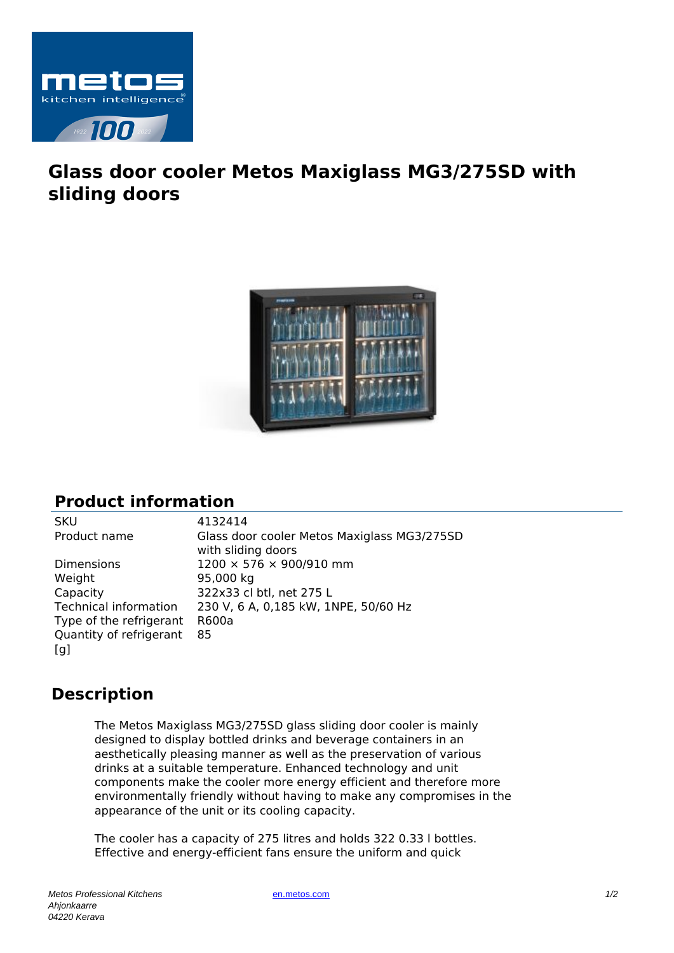

## **Glass door cooler Metos Maxiglass MG3/275SD with sliding doors**



## **Product information**

Weight 95,000 kg Capacity 322x33 cl btl, net 275 L Type of the refrigerant R600a Quantity of refrigerant  $[a]$ 

SKU 4132414 Product name Glass door cooler Metos Maxiglass MG3/275SD with sliding doors Dimensions 1200 × 576 × 900/910 mm Technical information 230 V, 6 A, 0,185 kW, 1NPE, 50/60 Hz 85

## **Description**

The Metos Maxiglass MG3/275SD glass sliding door cooler is mainly designed to display bottled drinks and beverage containers in an aesthetically pleasing manner as well as the preservation of various drinks at a suitable temperature. Enhanced technology and unit components make the cooler more energy efficient and therefore more environmentally friendly without having to make any compromises in the appearance of the unit or its cooling capacity.

The cooler has a capacity of 275 litres and holds 322 0.33 l bottles. Effective and energy-efficient fans ensure the uniform and quick